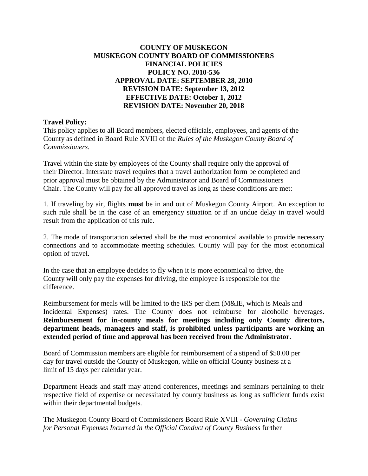## **COUNTY OF MUSKEGON MUSKEGON COUNTY BOARD OF COMMISSIONERS FINANCIAL POLICIES POLICY NO. 2010-536 APPROVAL DATE: SEPTEMBER 28, 2010 REVISION DATE: September 13, 2012 EFFECTIVE DATE: October 1, 2012 REVISION DATE: November 20, 2018**

### **Travel Policy:**

This policy applies to all Board members, elected officials, employees, and agents of the County as defined in Board Rule XVIII of the *Rules of the Muskegon County Board of Commissioners*.

Travel within the state by employees of the County shall require only the approval of their Director. Interstate travel requires that a travel authorization form be completed and prior approval must be obtained by the Administrator and Board of Commissioners Chair. The County will pay for all approved travel as long as these conditions are met:

1. If traveling by air, flights **must** be in and out of Muskegon County Airport. An exception to such rule shall be in the case of an emergency situation or if an undue delay in travel would result from the application of this rule.

2. The mode of transportation selected shall be the most economical available to provide necessary connections and to accommodate meeting schedules. County will pay for the most economical option of travel.

In the case that an employee decides to fly when it is more economical to drive, the County will only pay the expenses for driving, the employee is responsible for the difference.

Reimbursement for meals will be limited to the IRS per diem (M&IE, which is Meals and Incidental Expenses) rates. The County does not reimburse for alcoholic beverages. **Reimbursement for in-county meals for meetings including only County directors, department heads, managers and staff, is prohibited unless participants are working an extended period of time and approval has been received from the Administrator.**

Board of Commission members are eligible for reimbursement of a stipend of \$50.00 per day for travel outside the County of Muskegon, while on official County business at a limit of 15 days per calendar year.

Department Heads and staff may attend conferences, meetings and seminars pertaining to their respective field of expertise or necessitated by county business as long as sufficient funds exist within their departmental budgets.

The Muskegon County Board of Commissioners Board Rule XVIII - *Governing Claims for Personal Expenses Incurred in the Official Conduct of County Business* further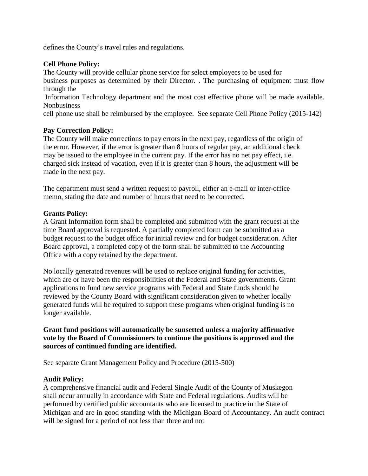defines the County's travel rules and regulations.

### **Cell Phone Policy:**

The County will provide cellular phone service for select employees to be used for business purposes as determined by their Director. . The purchasing of equipment must flow through the

Information Technology department and the most cost effective phone will be made available. **Nonbusiness** 

cell phone use shall be reimbursed by the employee. See separate Cell Phone Policy (2015-142)

## **Pay Correction Policy:**

The County will make corrections to pay errors in the next pay, regardless of the origin of the error. However, if the error is greater than 8 hours of regular pay, an additional check may be issued to the employee in the current pay. If the error has no net pay effect, i.e. charged sick instead of vacation, even if it is greater than 8 hours, the adjustment will be made in the next pay.

The department must send a written request to payroll, either an e-mail or inter-office memo, stating the date and number of hours that need to be corrected.

## **Grants Policy:**

A Grant Information form shall be completed and submitted with the grant request at the time Board approval is requested. A partially completed form can be submitted as a budget request to the budget office for initial review and for budget consideration. After Board approval, a completed copy of the form shall be submitted to the Accounting Office with a copy retained by the department.

No locally generated revenues will be used to replace original funding for activities, which are or have been the responsibilities of the Federal and State governments. Grant applications to fund new service programs with Federal and State funds should be reviewed by the County Board with significant consideration given to whether locally generated funds will be required to support these programs when original funding is no longer available.

## **Grant fund positions will automatically be sunsetted unless a majority affirmative vote by the Board of Commissioners to continue the positions is approved and the sources of continued funding are identified.**

See separate Grant Management Policy and Procedure (2015-500)

#### **Audit Policy:**

A comprehensive financial audit and Federal Single Audit of the County of Muskegon shall occur annually in accordance with State and Federal regulations. Audits will be performed by certified public accountants who are licensed to practice in the State of Michigan and are in good standing with the Michigan Board of Accountancy. An audit contract will be signed for a period of not less than three and not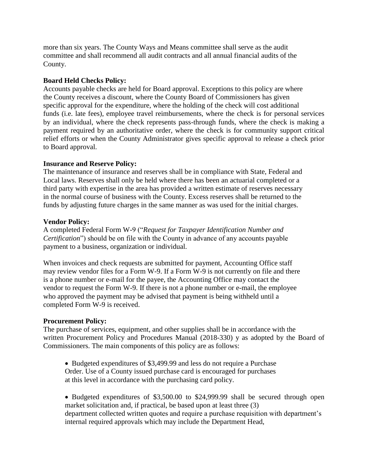more than six years. The County Ways and Means committee shall serve as the audit committee and shall recommend all audit contracts and all annual financial audits of the County.

### **Board Held Checks Policy:**

Accounts payable checks are held for Board approval. Exceptions to this policy are where the County receives a discount, where the County Board of Commissioners has given specific approval for the expenditure, where the holding of the check will cost additional funds (i.e. late fees), employee travel reimbursements, where the check is for personal services by an individual, where the check represents pass-through funds, where the check is making a payment required by an authoritative order, where the check is for community support critical relief efforts or when the County Administrator gives specific approval to release a check prior to Board approval.

## **Insurance and Reserve Policy:**

The maintenance of insurance and reserves shall be in compliance with State, Federal and Local laws. Reserves shall only be held where there has been an actuarial completed or a third party with expertise in the area has provided a written estimate of reserves necessary in the normal course of business with the County. Excess reserves shall be returned to the funds by adjusting future charges in the same manner as was used for the initial charges.

## **Vendor Policy:**

A completed Federal Form W-9 ("*Request for Taxpayer Identification Number and Certification*") should be on file with the County in advance of any accounts payable payment to a business, organization or individual.

When invoices and check requests are submitted for payment, Accounting Office staff may review vendor files for a Form W-9. If a Form W-9 is not currently on file and there is a phone number or e-mail for the payee, the Accounting Office may contact the vendor to request the Form W-9. If there is not a phone number or e-mail, the employee who approved the payment may be advised that payment is being withheld until a completed Form W-9 is received.

#### **Procurement Policy:**

The purchase of services, equipment, and other supplies shall be in accordance with the written Procurement Policy and Procedures Manual (2018-330) y as adopted by the Board of Commissioners. The main components of this policy are as follows:

• Budgeted expenditures of \$3,499.99 and less do not require a Purchase Order. Use of a County issued purchase card is encouraged for purchases at this level in accordance with the purchasing card policy.

• Budgeted expenditures of \$3,500.00 to \$24,999.99 shall be secured through open market solicitation and, if practical, be based upon at least three (3) department collected written quotes and require a purchase requisition with department's internal required approvals which may include the Department Head,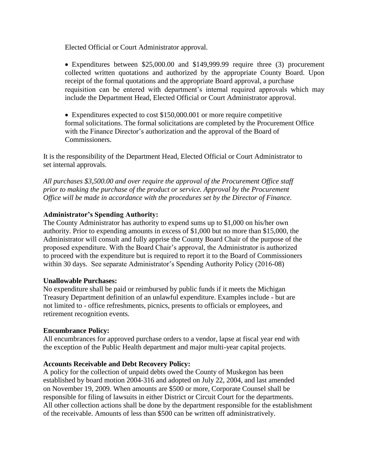Elected Official or Court Administrator approval.

Expenditures between \$25,000.00 and \$149,999.99 require three (3) procurement collected written quotations and authorized by the appropriate County Board. Upon receipt of the formal quotations and the appropriate Board approval, a purchase requisition can be entered with department's internal required approvals which may include the Department Head, Elected Official or Court Administrator approval.

Expenditures expected to cost \$150,000.001 or more require competitive formal solicitations. The formal solicitations are completed by the Procurement Office with the Finance Director's authorization and the approval of the Board of Commissioners.

It is the responsibility of the Department Head, Elected Official or Court Administrator to set internal approvals.

*All purchases \$3,500.00 and over require the approval of the Procurement Office staff prior to making the purchase of the product or service. Approval by the Procurement Office will be made in accordance with the procedures set by the Director of Finance.*

## **Administrator's Spending Authority:**

The County Administrator has authority to expend sums up to \$1,000 on his/her own authority. Prior to expending amounts in excess of \$1,000 but no more than \$15,000, the Administrator will consult and fully apprise the County Board Chair of the purpose of the proposed expenditure. With the Board Chair's approval, the Administrator is authorized to proceed with the expenditure but is required to report it to the Board of Commissioners within 30 days. See separate Administrator's Spending Authority Policy (2016-08)

#### **Unallowable Purchases:**

No expenditure shall be paid or reimbursed by public funds if it meets the Michigan Treasury Department definition of an unlawful expenditure. Examples include - but are not limited to - office refreshments, picnics, presents to officials or employees, and retirement recognition events.

#### **Encumbrance Policy:**

All encumbrances for approved purchase orders to a vendor, lapse at fiscal year end with the exception of the Public Health department and major multi-year capital projects.

#### **Accounts Receivable and Debt Recovery Policy:**

A policy for the collection of unpaid debts owed the County of Muskegon has been established by board motion 2004-316 and adopted on July 22, 2004, and last amended on November 19, 2009. When amounts are \$500 or more, Corporate Counsel shall be responsible for filing of lawsuits in either District or Circuit Court for the departments. All other collection actions shall be done by the department responsible for the establishment of the receivable. Amounts of less than \$500 can be written off administratively.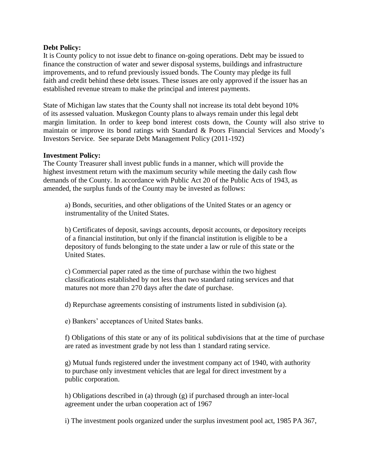#### **Debt Policy:**

It is County policy to not issue debt to finance on-going operations. Debt may be issued to finance the construction of water and sewer disposal systems, buildings and infrastructure improvements, and to refund previously issued bonds. The County may pledge its full faith and credit behind these debt issues. These issues are only approved if the issuer has an established revenue stream to make the principal and interest payments.

State of Michigan law states that the County shall not increase its total debt beyond 10% of its assessed valuation. Muskegon County plans to always remain under this legal debt margin limitation. In order to keep bond interest costs down, the County will also strive to maintain or improve its bond ratings with Standard & Poors Financial Services and Moody's Investors Service. See separate Debt Management Policy (2011-192)

#### **Investment Policy:**

The County Treasurer shall invest public funds in a manner, which will provide the highest investment return with the maximum security while meeting the daily cash flow demands of the County. In accordance with Public Act 20 of the Public Acts of 1943, as amended, the surplus funds of the County may be invested as follows:

a) Bonds, securities, and other obligations of the United States or an agency or instrumentality of the United States.

b) Certificates of deposit, savings accounts, deposit accounts, or depository receipts of a financial institution, but only if the financial institution is eligible to be a depository of funds belonging to the state under a law or rule of this state or the United States.

c) Commercial paper rated as the time of purchase within the two highest classifications established by not less than two standard rating services and that matures not more than 270 days after the date of purchase.

d) Repurchase agreements consisting of instruments listed in subdivision (a).

e) Bankers' acceptances of United States banks.

f) Obligations of this state or any of its political subdivisions that at the time of purchase are rated as investment grade by not less than 1 standard rating service.

g) Mutual funds registered under the investment company act of 1940, with authority to purchase only investment vehicles that are legal for direct investment by a public corporation.

h) Obligations described in (a) through (g) if purchased through an inter-local agreement under the urban cooperation act of 1967

i) The investment pools organized under the surplus investment pool act, 1985 PA 367,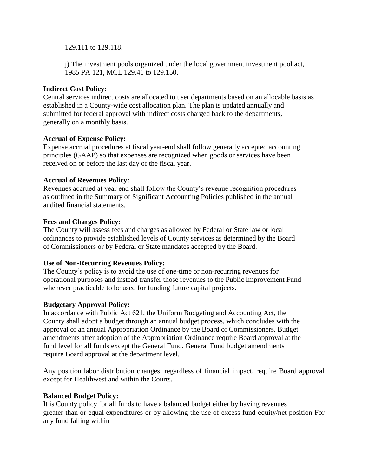129.111 to 129.118.

j) The investment pools organized under the local government investment pool act, 1985 PA 121, MCL 129.41 to 129.150.

### **Indirect Cost Policy:**

Central services indirect costs are allocated to user departments based on an allocable basis as established in a County-wide cost allocation plan. The plan is updated annually and submitted for federal approval with indirect costs charged back to the departments, generally on a monthly basis.

## **Accrual of Expense Policy:**

Expense accrual procedures at fiscal year-end shall follow generally accepted accounting principles (GAAP) so that expenses are recognized when goods or services have been received on or before the last day of the fiscal year.

## **Accrual of Revenues Policy:**

Revenues accrued at year end shall follow the County's revenue recognition procedures as outlined in the Summary of Significant Accounting Policies published in the annual audited financial statements.

## **Fees and Charges Policy:**

The County will assess fees and charges as allowed by Federal or State law or local ordinances to provide established levels of County services as determined by the Board of Commissioners or by Federal or State mandates accepted by the Board.

# **Use of Non-Recurring Revenues Policy:**

The County's policy is to avoid the use of one-time or non-recurring revenues for operational purposes and instead transfer those revenues to the Public Improvement Fund whenever practicable to be used for funding future capital projects.

# **Budgetary Approval Policy:**

In accordance with Public Act 621, the Uniform Budgeting and Accounting Act, the County shall adopt a budget through an annual budget process, which concludes with the approval of an annual Appropriation Ordinance by the Board of Commissioners. Budget amendments after adoption of the Appropriation Ordinance require Board approval at the fund level for all funds except the General Fund. General Fund budget amendments require Board approval at the department level.

Any position labor distribution changes, regardless of financial impact, require Board approval except for Healthwest and within the Courts.

#### **Balanced Budget Policy:**

It is County policy for all funds to have a balanced budget either by having revenues greater than or equal expenditures or by allowing the use of excess fund equity/net position For any fund falling within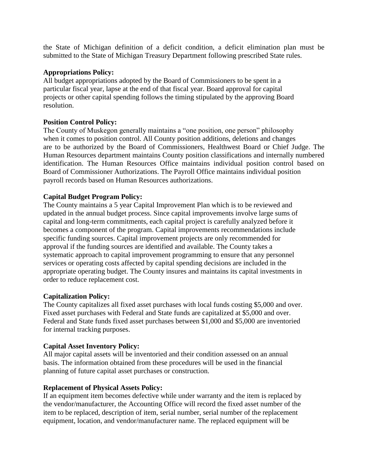the State of Michigan definition of a deficit condition, a deficit elimination plan must be submitted to the State of Michigan Treasury Department following prescribed State rules.

## **Appropriations Policy:**

All budget appropriations adopted by the Board of Commissioners to be spent in a particular fiscal year, lapse at the end of that fiscal year. Board approval for capital projects or other capital spending follows the timing stipulated by the approving Board resolution.

## **Position Control Policy:**

The County of Muskegon generally maintains a "one position, one person" philosophy when it comes to position control. All County position additions, deletions and changes are to be authorized by the Board of Commissioners, Healthwest Board or Chief Judge. The Human Resources department maintains County position classifications and internally numbered identification. The Human Resources Office maintains individual position control based on Board of Commissioner Authorizations. The Payroll Office maintains individual position payroll records based on Human Resources authorizations.

## **Capital Budget Program Policy:**

The County maintains a 5 year Capital Improvement Plan which is to be reviewed and updated in the annual budget process. Since capital improvements involve large sums of capital and long-term commitments, each capital project is carefully analyzed before it becomes a component of the program. Capital improvements recommendations include specific funding sources. Capital improvement projects are only recommended for approval if the funding sources are identified and available. The County takes a systematic approach to capital improvement programming to ensure that any personnel services or operating costs affected by capital spending decisions are included in the appropriate operating budget. The County insures and maintains its capital investments in order to reduce replacement cost.

#### **Capitalization Policy:**

The County capitalizes all fixed asset purchases with local funds costing \$5,000 and over. Fixed asset purchases with Federal and State funds are capitalized at \$5,000 and over. Federal and State funds fixed asset purchases between \$1,000 and \$5,000 are inventoried for internal tracking purposes.

#### **Capital Asset Inventory Policy:**

All major capital assets will be inventoried and their condition assessed on an annual basis. The information obtained from these procedures will be used in the financial planning of future capital asset purchases or construction.

#### **Replacement of Physical Assets Policy:**

If an equipment item becomes defective while under warranty and the item is replaced by the vendor/manufacturer, the Accounting Office will record the fixed asset number of the item to be replaced, description of item, serial number, serial number of the replacement equipment, location, and vendor/manufacturer name. The replaced equipment will be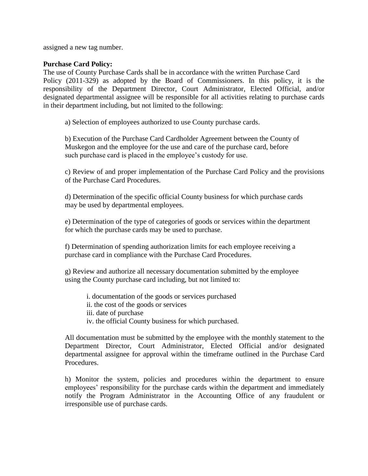assigned a new tag number.

#### **Purchase Card Policy:**

The use of County Purchase Cards shall be in accordance with the written Purchase Card Policy (2011-329) as adopted by the Board of Commissioners. In this policy, it is the responsibility of the Department Director, Court Administrator, Elected Official, and/or designated departmental assignee will be responsible for all activities relating to purchase cards in their department including, but not limited to the following:

a) Selection of employees authorized to use County purchase cards.

b) Execution of the Purchase Card Cardholder Agreement between the County of Muskegon and the employee for the use and care of the purchase card, before such purchase card is placed in the employee's custody for use.

c) Review of and proper implementation of the Purchase Card Policy and the provisions of the Purchase Card Procedures.

d) Determination of the specific official County business for which purchase cards may be used by departmental employees.

e) Determination of the type of categories of goods or services within the department for which the purchase cards may be used to purchase.

f) Determination of spending authorization limits for each employee receiving a purchase card in compliance with the Purchase Card Procedures.

g) Review and authorize all necessary documentation submitted by the employee using the County purchase card including, but not limited to:

i. documentation of the goods or services purchased ii. the cost of the goods or services iii. date of purchase iv. the official County business for which purchased.

All documentation must be submitted by the employee with the monthly statement to the Department Director, Court Administrator, Elected Official and/or designated departmental assignee for approval within the timeframe outlined in the Purchase Card Procedures.

h) Monitor the system, policies and procedures within the department to ensure employees' responsibility for the purchase cards within the department and immediately notify the Program Administrator in the Accounting Office of any fraudulent or irresponsible use of purchase cards.